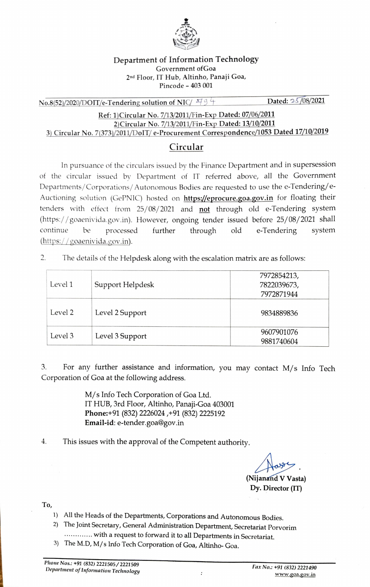

## Department of Information Technology Government ofGoa 2nd Floor, IT Hub, Altinho, Panaji Goa, Pincode - 403 001

 $N_{0.8(52)/2020/DOIT/e-Tendering solution of NIC/794$  Dated: 25/08/2021

Ref: 1)Circular No. 7/13/2011/Fin-Exp Dated: 07/06/2011 21Circular No. 7/13/2011/Fin-Exp Dated: 13/10/2011 3) Circular No. 7(373)/2011/DolT/ e-Procurement Correspondence/1053 Dated 17/10/2019

## Circular

In pursuance of the circulars issued by the Finance Department and in supersession of the circular issued by Department of IT referred above, all the Government Departments/Corporations/ Autonomous Bodies are requested to use the e-Tendering/e Auctioning solution (GePNIC) hosted on https://eprocure.goa.gov.in for floating their tenders with effect from 25/08/2021 and not through old e-Tendering system (https://goaenivida.gov.in). However, ongoing tender issued before 25/08/2021 shall continue be processed further through old e-Tendering system (https://goaenivida.gov.in).

 $2.$ The details of the Helpdesk along with the escalation matrix are as follows:

| Level 1 | Support Helpdesk | 7972854213,<br>7822039673,<br>7972871944 |
|---------|------------------|------------------------------------------|
| Level 2 | Level 2 Support  | 9834889836                               |
| Level 3 | Level 3 Support  | 9607901076<br>9881740604                 |

3. For any further assistance and information, you may contact M/s Info Tech Corporation of Goa at the following address.

> M/s Info Tech Corporation of Goa Ltd. IT HUB, 3rd Floor, Altinho, Panaji-Goa 403001 Phone:+91 (832) 2226024, +91 (832) 2225192 Email-id: e-tender.goa@gov.in

4. This issues with the approval of the Competent authority.

(Nijanand V Vasta) Dy. Director (IT)

To,

- 1) All the Heads of the Departments, Corporations and Autonomous Bodies.
- 2) The Joint Secretary, General Administration Department, Secretariat Porvorim ............ with a request to forward it to all Departments in Secretariat.
- 3) The M.D, M/s Info Tech Corporation of Goa, Altinho- Goa.